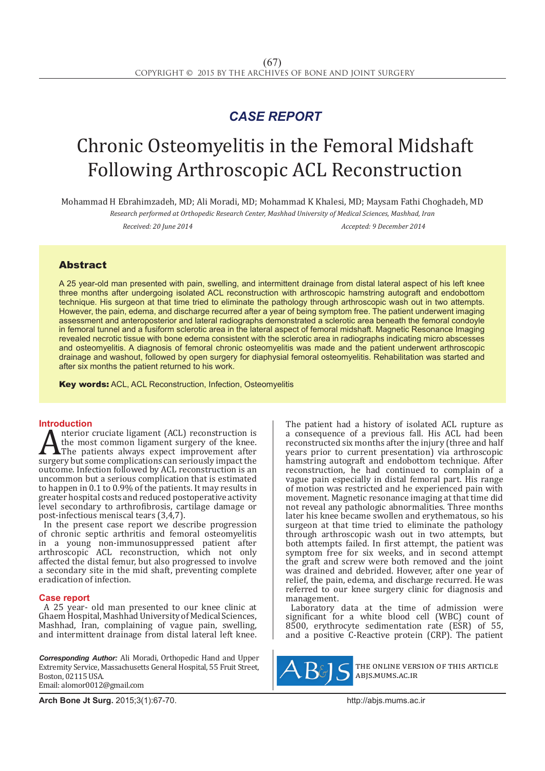## *CASE REPORT*

# Chronic Osteomyelitis in the Femoral Midshaft Following Arthroscopic ACL Reconstruction

Mohammad H Ebrahimzadeh, MD; Ali Moradi, MD; Mohammad K Khalesi, MD; Maysam Fathi Choghadeh, MD

*Research performed at Orthopedic Research Center, Mashhad University of Medical Sciences, Mashhad, Iran*

*Received: 20 June 2014 Accepted: 9 December 2014*

### Abstract

A 25 year-old man presented with pain, swelling, and intermittent drainage from distal lateral aspect of his left knee three months after undergoing isolated ACL reconstruction with arthroscopic hamstring autograft and endobottom technique. His surgeon at that time tried to eliminate the pathology through arthroscopic wash out in two attempts. However, the pain, edema, and discharge recurred after a year of being symptom free. The patient underwent imaging assessment and anteroposterior and lateral radiographs demonstrated a sclerotic area beneath the femoral condoyle in femoral tunnel and a fusiform sclerotic area in the lateral aspect of femoral midshaft. Magnetic Resonance Imaging revealed necrotic tissue with bone edema consistent with the sclerotic area in radiographs indicating micro abscesses and osteomyelitis. A diagnosis of femoral chronic osteomyelitis was made and the patient underwent arthroscopic drainage and washout, followed by open surgery for diaphysial femoral osteomyelitis. Rehabilitation was started and after six months the patient returned to his work.

Key words: ACL, ACL Reconstruction, Infection, Osteomyelitis

**Introduction**<br>**A** nterior cruciate ligament (ACL) reconstruction is A the most common ligament (ACL) reconstruction is<br>The patients always expect improvement after<br>surgery but some complications can seriously impact the<br>outcome Infection followed by ACI reconstruction is an the most common ligament surgery of the knee. **AThe patients always expect improvement after** surgery but some complications can seriously impact the outcome. Infection followed by ACL reconstruction is an uncommon but a serious complication that is estimated to happen in 0.1 to 0.9% of the patients. It may results in greater hospital costs and reduced postoperative activity level secondary to arthrofibrosis, cartilage damage or post-infectious meniscal tears (3,4,7).

In the present case report we describe progression of chronic septic arthritis and femoral osteomyelitis in a young non-immunosuppressed patient after arthroscopic ACL reconstruction, which not only affected the distal femur, but also progressed to involve a secondary site in the mid shaft, preventing complete eradication of infection.

### **Case report**

A 25 year- old man presented to our knee clinic at Ghaem Hospital, Mashhad University of Medical Sciences, Mashhad, Iran, complaining of vague pain, swelling, and intermittent drainage from distal lateral left knee.

*Corresponding Author:* Ali Moradi, Orthopedic Hand and Upper Extremity Service, Massachusetts General Hospital, 55 Fruit Street, Boston, 02115 USA. Email: alomor0012@gmail.com

The patient had a history of isolated ACL rupture as a consequence of a previous fall. His ACL had been reconstructed six months after the injury (three and half years prior to current presentation) via arthroscopic hamstring autograft and endobottom technique. After reconstruction, he had continued to complain of a vague pain especially in distal femoral part. His range of motion was restricted and he experienced pain with movement. Magnetic resonance imaging at that time did not reveal any pathologic abnormalities. Three months later his knee became swollen and erythematous, so his surgeon at that time tried to eliminate the pathology through arthroscopic wash out in two attempts, but both attempts failed. In first attempt, the patient was symptom free for six weeks, and in second attempt the graft and screw were both removed and the joint was drained and debrided. However, after one year of relief, the pain, edema, and discharge recurred. He was referred to our knee surgery clinic for diagnosis and management.

Laboratory data at the time of admission were significant for a white blood cell (WBC) count of 8500, erythrocyte sedimentation rate (ESR) of 55, and a positive C-Reactive protein (CRP). The patient



the online version of this article abjs.mums.ac.ir

**Arch Bone Jt Surg.** 2015;3(1):67-70.http://abjs.mums.ac.ir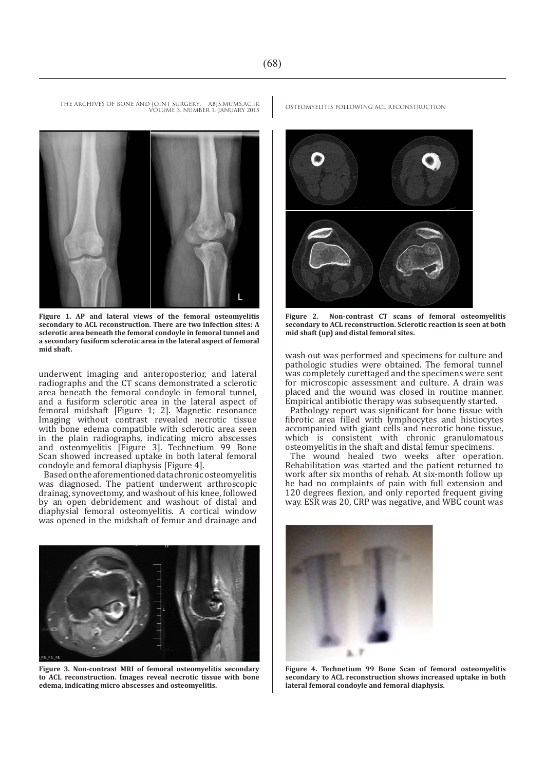

VOLUME 3. NUMBER 1. JANUARY 2015

**Figure 1. AP and lateral views of the femoral osteomyelitis secondary to ACL reconstruction. There are two infection sites: A sclerotic area beneath the femoral condoyle in femoral tunnel and a secondary fusiform sclerotic area in the lateral aspect of femoral mid shaft.**

underwent imaging and anteroposterior, and lateral radiographs and the CT scans demonstrated a sclerotic area beneath the femoral condoyle in femoral tunnel, and a fusiform sclerotic area in the lateral aspect of femoral midshaft [Figure 1; 2]. Magnetic resonance Imaging without contrast revealed necrotic tissue with bone edema compatible with sclerotic area seen in the plain radiographs, indicating micro abscesses and osteomyelitis [Figure 3]. Technetium 99 Bone Scan showed increased uptake in both lateral femoral condoyle and femoral diaphysis [Figure 4].

Based on the aforementioned data chronic osteomyelitis was diagnosed. The patient underwent arthroscopic drainag, synovectomy, and washout of his knee, followed by an open debridement and washout of distal and diaphysial femoral osteomyelitis. A cortical window was opened in the midshaft of femur and drainage and



**Figure 3. Non-contrast MRI of femoral osteomyelitis secondary to ACL reconstruction. Images reveal necrotic tissue with bone edema, indicating micro abscesses and osteomyelitis.**

THE ARCHIVES OF BONE AND JOINT SURGERY. ABJS.MUMS.AC.IR OSTEOMYELITIS FOLLOWING ACL RECONSTRUCTION



**Figure 2. Non-contrast CT scans of femoral osteomyelitis secondary to ACL reconstruction. Sclerotic reaction is seen at both mid shaft (up) and distal femoral sites.**

wash out was performed and specimens for culture and pathologic studies were obtained. The femoral tunnel was completely curettaged and the specimens were sent for microscopic assessment and culture. A drain was placed and the wound was closed in routine manner. Empirical antibiotic therapy was subsequently started.

Pathology report was significant for bone tissue with fibrotic area filled with lymphocytes and histiocytes accompanied with giant cells and necrotic bone tissue, which is consistent with chronic granulomatous osteomyelitis in the shaft and distal femur specimens.

The wound healed two weeks after operation. Rehabilitation was started and the patient returned to work after six months of rehab. At six-month follow up he had no complaints of pain with full extension and 120 degrees flexion, and only reported frequent giving way. ESR was 20, CRP was negative, and WBC count was



**Figure 4. Technetium 99 Bone Scan of femoral osteomyelitis secondary to ACL reconstruction shows increased uptake in both lateral femoral condoyle and femoral diaphysis.**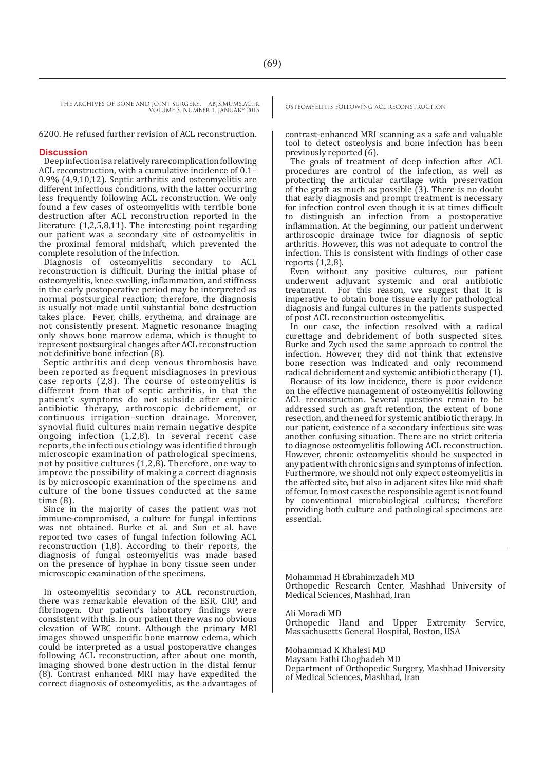THE ARCHIVES OF BONE AND JOINT SURGERY. ABJS.MUMS.AC.IR OSTEOMYELITIS FOLLOWING ACL RECONSTRUCTION VOLUME 3. NUMBER 1. JANUARY 2015

6200. He refused further revision of ACL reconstruction.

### J **Discussion**

Deep infection is a relatively rare complication following ACL reconstruction, with a cumulative incidence of 0.1– 0.9% (4,9,10,12). Septic arthritis and osteomyelitis are different infectious conditions, with the latter occurring less frequently following ACL reconstruction. We only found a few cases of osteomyelitis with terrible bone destruction after ACL reconstruction reported in the literature (1,2,5,8,11). The interesting point regarding our patient was a secondary site of osteomyelitis in the proximal femoral midshaft, which prevented the complete resolution of the infection.

Diagnosis of osteomyelitis secondary to ACL reconstruction is difficult. During the initial phase of osteomyelitis, knee swelling, inflammation, and stiffness in the early postoperative period may be interpreted as normal postsurgical reaction; therefore, the diagnosis is usually not made until substantial bone destruction takes place. Fever, chills, erythema, and drainage are not consistently present. Magnetic resonance imaging only shows bone marrow edema, which is thought to represent postsurgical changes after ACL reconstruction not definitive bone infection (8).

Septic arthritis and deep venous thrombosis have been reported as frequent misdiagnoses in previous case reports (2,8). The course of osteomyelitis is different from that of septic arthritis, in that the patient's symptoms do not subside after empiric antibiotic therapy, arthroscopic debridement, or continuous irrigation–suction drainage. Moreover, synovial fluid cultures main remain negative despite ongoing infection (1,2,8). In several recent case reports, the infectious etiology was identified through microscopic examination of pathological specimens, not by positive cultures  $(1,2,8)$ . Therefore, one way to improve the possibility of making a correct diagnosis is by microscopic examination of the specimens and culture of the bone tissues conducted at the same time (8).

Since in the majority of cases the patient was not immune-compromised, a culture for fungal infections was not obtained. Burke et al. and Sun et al. have reported two cases of fungal infection following ACL reconstruction (1,8). According to their reports, the diagnosis of fungal osteomyelitis was made based on the presence of hyphae in bony tissue seen under microscopic examination of the specimens.

In osteomyelitis secondary to ACL reconstruction, there was remarkable elevation of the ESR, CRP, and fibrinogen. Our patient's laboratory findings were consistent with this. In our patient there was no obvious elevation of WBC count. Although the primary MRI images showed unspecific bone marrow edema, which could be interpreted as a usual postoperative changes following ACL reconstruction, after about one month, imaging showed bone destruction in the distal femur (8). Contrast enhanced MRI may have expedited the correct diagnosis of osteomyelitis, as the advantages of

contrast-enhanced MRI scanning as a safe and valuable tool to detect osteolysis and bone infection has been previously reported (6).

The goals of treatment of deep infection after ACL procedures are control of the infection, as well as protecting the articular cartilage with preservation of the graft as much as possible (3). There is no doubt that early diagnosis and prompt treatment is necessary for infection control even though it is at times difficult to distinguish an infection from a postoperative inflammation. At the beginning, our patient underwent arthroscopic drainage twice for diagnosis of septic arthritis. However, this was not adequate to control the infection. This is consistent with findings of other case reports (1,2,8).

Even without any positive cultures, our patient underwent adjuvant systemic and oral antibiotic treatment. For this reason, we suggest that it is imperative to obtain bone tissue early for pathological diagnosis and fungal cultures in the patients suspected of post ACL reconstruction osteomyelitis.

In our case, the infection resolved with a radical curettage and debridement of both suspected sites. Burke and Zych used the same approach to control the infection. However, they did not think that extensive bone resection was indicated and only recommend radical debridement and systemic antibiotic therapy (1).

Because of its low incidence, there is poor evidence on the effective management of osteomyelitis following ACL reconstruction. Several questions remain to be addressed such as graft retention, the extent of bone resection, and the need for systemic antibiotic therapy. In our patient, existence of a secondary infectious site was another confusing situation. There are no strict criteria to diagnose osteomyelitis following ACL reconstruction. However, chronic osteomyelitis should be suspected in any patient with chronic signs and symptoms of infection. Furthermore, we should not only expect osteomyelitis in the affected site, but also in adjacent sites like mid shaft of femur. In most cases the responsible agent is not found by conventional microbiological cultures; therefore providing both culture and pathological specimens are essential.

Mohammad H Ebrahimzadeh MD Orthopedic Research Center, Mashhad University of Medical Sciences, Mashhad, Iran

Ali Moradi MD

Orthopedic Hand and Upper Extremity Service, Massachusetts General Hospital, Boston, USA

Mohammad K Khalesi MD Maysam Fathi Choghadeh MD Department of Orthopedic Surgery, Mashhad University of Medical Sciences, Mashhad, Iran